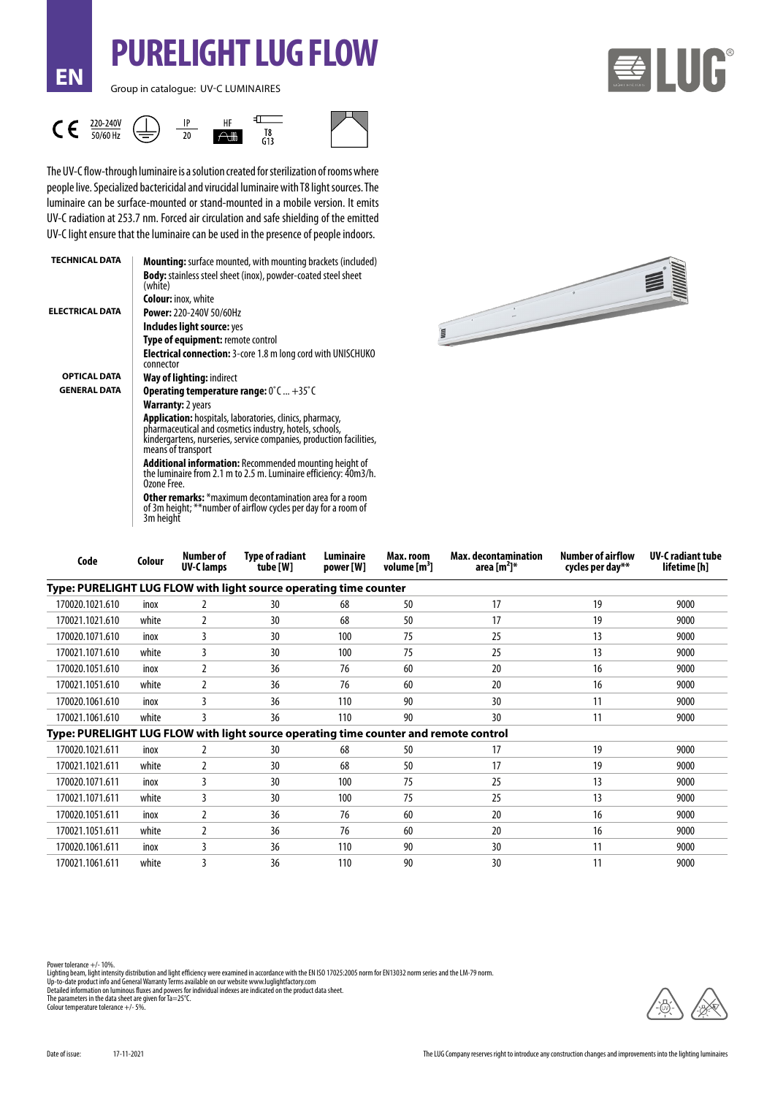Group in catalogue: UV-C LUMINAIRES

**EN**





**PURELIGHT LUG FLOW**

The UV-C flow-through luminaire is a solution created for sterilization of rooms where people live. Specialized bactericidal and virucidal luminaire with T8 light sources. The luminaire can be surface-mounted or stand-mounted in a mobile version. It emits UV-C radiation at 253.7 nm. Forced air circulation and safe shielding of the emitted UV-C light ensure that the luminaire can be used in the presence of people indoors.

| <b>TECHNICAL DATA</b>  | <b>Mounting:</b> surface mounted, with mounting brackets (included)                                                                                                                                                     |  |  |  |  |  |
|------------------------|-------------------------------------------------------------------------------------------------------------------------------------------------------------------------------------------------------------------------|--|--|--|--|--|
|                        | <b>Body:</b> stainless steel sheet (inox), powder-coated steel sheet<br>(white)                                                                                                                                         |  |  |  |  |  |
|                        | <b>Colour:</b> inox, white                                                                                                                                                                                              |  |  |  |  |  |
| <b>ELECTRICAL DATA</b> | <b>Power: 220-240V 50/60Hz</b>                                                                                                                                                                                          |  |  |  |  |  |
|                        | Includes light source: yes                                                                                                                                                                                              |  |  |  |  |  |
|                        | Type of equipment: remote control                                                                                                                                                                                       |  |  |  |  |  |
|                        | <b>Electrical connection:</b> 3-core 1.8 m long cord with UNISCHUKO<br>connector                                                                                                                                        |  |  |  |  |  |
| <b>OPTICAL DATA</b>    | Way of lighting: indirect                                                                                                                                                                                               |  |  |  |  |  |
| <b>GENERAL DATA</b>    | <b>Operating temperature range: 0°C +35°C</b>                                                                                                                                                                           |  |  |  |  |  |
|                        | <b>Warranty: 2 years</b>                                                                                                                                                                                                |  |  |  |  |  |
|                        | <b>Application:</b> hospitals, laboratories, clinics, pharmacy,<br>pharmaceutical and cosmetics industry, hotels, schools,<br>kindergartens, nurseries, service companies, production facilities,<br>means of transport |  |  |  |  |  |
|                        | Additional information: Recommended mounting height of<br>the luminaire from 2.1 m to 2.5 m. Luminaire efficiency: 40m3/h.<br>Ozone Free.                                                                               |  |  |  |  |  |
|                        | <b>Other remarks:</b> *maximum decontamination area for a room<br>of 3m height; ** number of airflow cycles per day for a room of<br>3m height                                                                          |  |  |  |  |  |



| Code                                                                                 | Colour | Number of<br><b>UV-Clamps</b> | Type of radiant<br>tube [W] | Luminaire<br>power [W] | Max. room<br>volume $[m^3]$ | Max. decontamination<br>area [m $^{2}$ ]* | <b>Number of airflow</b><br>cycles per day** | <b>UV-C</b> radiant tube<br>lifetime [h] |
|--------------------------------------------------------------------------------------|--------|-------------------------------|-----------------------------|------------------------|-----------------------------|-------------------------------------------|----------------------------------------------|------------------------------------------|
| Type: PURELIGHT LUG FLOW with light source operating time counter                    |        |                               |                             |                        |                             |                                           |                                              |                                          |
| 170020.1021.610                                                                      | inox   | 2                             | 30                          | 68                     | 50                          | 17                                        | 19                                           | 9000                                     |
| 170021.1021.610                                                                      | white  | 2                             | 30                          | 68                     | 50                          | 17                                        | 19                                           | 9000                                     |
| 170020.1071.610                                                                      | inox   | 3                             | 30                          | 100                    | 75                          | 25                                        | 13                                           | 9000                                     |
| 170021.1071.610                                                                      | white  | 3                             | 30                          | 100                    | 75                          | 25                                        | 13                                           | 9000                                     |
| 170020.1051.610                                                                      | inox   | 2                             | 36                          | 76                     | 60                          | 20                                        | 16                                           | 9000                                     |
| 170021.1051.610                                                                      | white  | $\overline{2}$                | 36                          | 76                     | 60                          | 20                                        | 16                                           | 9000                                     |
| 170020.1061.610                                                                      | inox   | 3                             | 36                          | 110                    | 90                          | 30                                        | 11                                           | 9000                                     |
| 170021.1061.610                                                                      | white  | 3                             | 36                          | 110                    | 90                          | 30                                        | 11                                           | 9000                                     |
| Type: PURELIGHT LUG FLOW with light source operating time counter and remote control |        |                               |                             |                        |                             |                                           |                                              |                                          |
| 170020.1021.611                                                                      | inox   | 2                             | 30                          | 68                     | 50                          | 17                                        | 19                                           | 9000                                     |
| 170021.1021.611                                                                      | white  | 2                             | 30                          | 68                     | 50                          | 17                                        | 19                                           | 9000                                     |
| 170020.1071.611                                                                      | inox   | 3                             | 30                          | 100                    | 75                          | 25                                        | 13                                           | 9000                                     |
| 170021.1071.611                                                                      | white  | 3                             | 30                          | 100                    | 75                          | 25                                        | 13                                           | 9000                                     |
| 170020.1051.611                                                                      | inox   |                               | 36                          | 76                     | 60                          | 20                                        | 16                                           | 9000                                     |
| 170021.1051.611                                                                      | white  | 2                             | 36                          | 76                     | 60                          | 20                                        | 16                                           | 9000                                     |
| 170020.1061.611                                                                      | inox   | 3                             | 36                          | 110                    | 90                          | 30                                        | 11                                           | 9000                                     |
| 170021.1061.611                                                                      | white  | 3                             | 36                          | 110                    | 90                          | 30                                        | 11                                           | 9000                                     |

Lighting beam, light intensity distribution and light efficiency were examined in accordance with the EN ISO 17025:2005 norm for EN13032 norm series and the LM-79 norm.<br>Up-to-date product info and General Waranty Terms ava

Colour temperature tolerance +/- 5%.